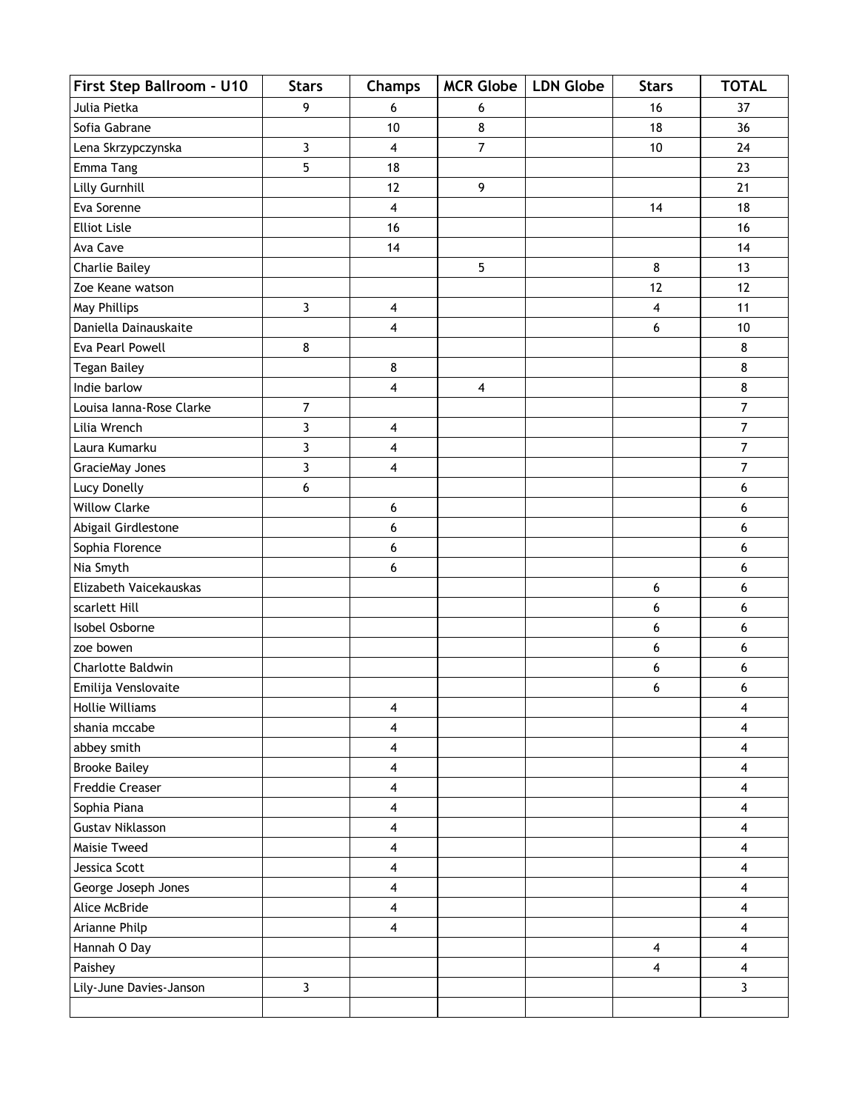| First Step Ballroom - U10 | <b>Stars</b>   | <b>Champs</b>           | <b>MCR Globe</b>        | <b>LDN Globe</b> | <b>Stars</b>            | <b>TOTAL</b>            |
|---------------------------|----------------|-------------------------|-------------------------|------------------|-------------------------|-------------------------|
| Julia Pietka              | 9              | 6                       | 6                       |                  | 16                      | 37                      |
| Sofia Gabrane             |                | 10                      | 8                       |                  | 18                      | 36                      |
| Lena Skrzypczynska        | 3              | 4                       | $\overline{7}$          |                  | 10                      | 24                      |
| Emma Tang                 | 5              | 18                      |                         |                  |                         | 23                      |
| Lilly Gurnhill            |                | 12                      | 9                       |                  |                         | 21                      |
| Eva Sorenne               |                | 4                       |                         |                  | 14                      | 18                      |
| <b>Elliot Lisle</b>       |                | 16                      |                         |                  |                         | 16                      |
| Ava Cave                  |                | 14                      |                         |                  |                         | 14                      |
| <b>Charlie Bailey</b>     |                |                         | 5                       |                  | 8                       | 13                      |
| Zoe Keane watson          |                |                         |                         |                  | 12                      | 12                      |
| May Phillips              | $\mathbf{3}$   | $\overline{\mathbf{4}}$ |                         |                  | 4                       | 11                      |
| Daniella Dainauskaite     |                | $\overline{\mathbf{4}}$ |                         |                  | 6                       | $10$                    |
| Eva Pearl Powell          | 8              |                         |                         |                  |                         | 8                       |
| <b>Tegan Bailey</b>       |                | 8                       |                         |                  |                         | 8                       |
| Indie barlow              |                | 4                       | $\overline{\mathbf{4}}$ |                  |                         | 8                       |
| Louisa Ianna-Rose Clarke  | $\overline{7}$ |                         |                         |                  |                         | $\overline{7}$          |
| Lilia Wrench              | 3              | $\overline{\mathbf{4}}$ |                         |                  |                         | $\overline{7}$          |
| Laura Kumarku             | 3              | $\overline{\mathbf{4}}$ |                         |                  |                         | $\overline{7}$          |
| GracieMay Jones           | 3              | 4                       |                         |                  |                         | $\overline{7}$          |
| Lucy Donelly              | 6              |                         |                         |                  |                         | 6                       |
| <b>Willow Clarke</b>      |                | 6                       |                         |                  |                         | 6                       |
| Abigail Girdlestone       |                | 6                       |                         |                  |                         | 6                       |
| Sophia Florence           |                | 6                       |                         |                  |                         | 6                       |
| Nia Smyth                 |                | 6                       |                         |                  |                         | 6                       |
| Elizabeth Vaicekauskas    |                |                         |                         |                  | 6                       | 6                       |
| scarlett Hill             |                |                         |                         |                  | 6                       | 6                       |
| Isobel Osborne            |                |                         |                         |                  | 6                       | 6                       |
| zoe bowen                 |                |                         |                         |                  | 6                       | 6                       |
| Charlotte Baldwin         |                |                         |                         |                  | 6                       | 6                       |
| Emilija Venslovaite       |                |                         |                         |                  | 6                       | 6                       |
| Hollie Williams           |                | 4                       |                         |                  |                         | 4                       |
| shania mccabe             |                | 4                       |                         |                  |                         | 4                       |
| abbey smith               |                | $\overline{\mathbf{4}}$ |                         |                  |                         | $\overline{\mathbf{4}}$ |
| <b>Brooke Bailey</b>      |                | $\overline{\mathbf{4}}$ |                         |                  |                         | 4                       |
| Freddie Creaser           |                | 4                       |                         |                  |                         | $\overline{\mathbf{4}}$ |
| Sophia Piana              |                | $\overline{\mathbf{4}}$ |                         |                  |                         | $\overline{\mathbf{4}}$ |
| <b>Gustav Niklasson</b>   |                | $\overline{\mathbf{4}}$ |                         |                  |                         | $\overline{\mathbf{4}}$ |
| Maisie Tweed              |                | 4                       |                         |                  |                         | $\overline{\mathbf{4}}$ |
| Jessica Scott             |                | $\overline{\mathbf{4}}$ |                         |                  |                         | $\overline{\mathbf{4}}$ |
| George Joseph Jones       |                | $\overline{\mathbf{4}}$ |                         |                  |                         | 4                       |
| Alice McBride             |                | $\overline{\mathbf{4}}$ |                         |                  |                         | $\overline{\mathbf{4}}$ |
| Arianne Philp             |                | 4                       |                         |                  |                         | 4                       |
| Hannah O Day              |                |                         |                         |                  | $\overline{\mathbf{4}}$ | $\overline{\mathbf{4}}$ |
| Paishey                   |                |                         |                         |                  | 4                       | $\overline{\mathbf{4}}$ |
| Lily-June Davies-Janson   | $\mathbf{3}$   |                         |                         |                  |                         | $\mathbf{3}$            |
|                           |                |                         |                         |                  |                         |                         |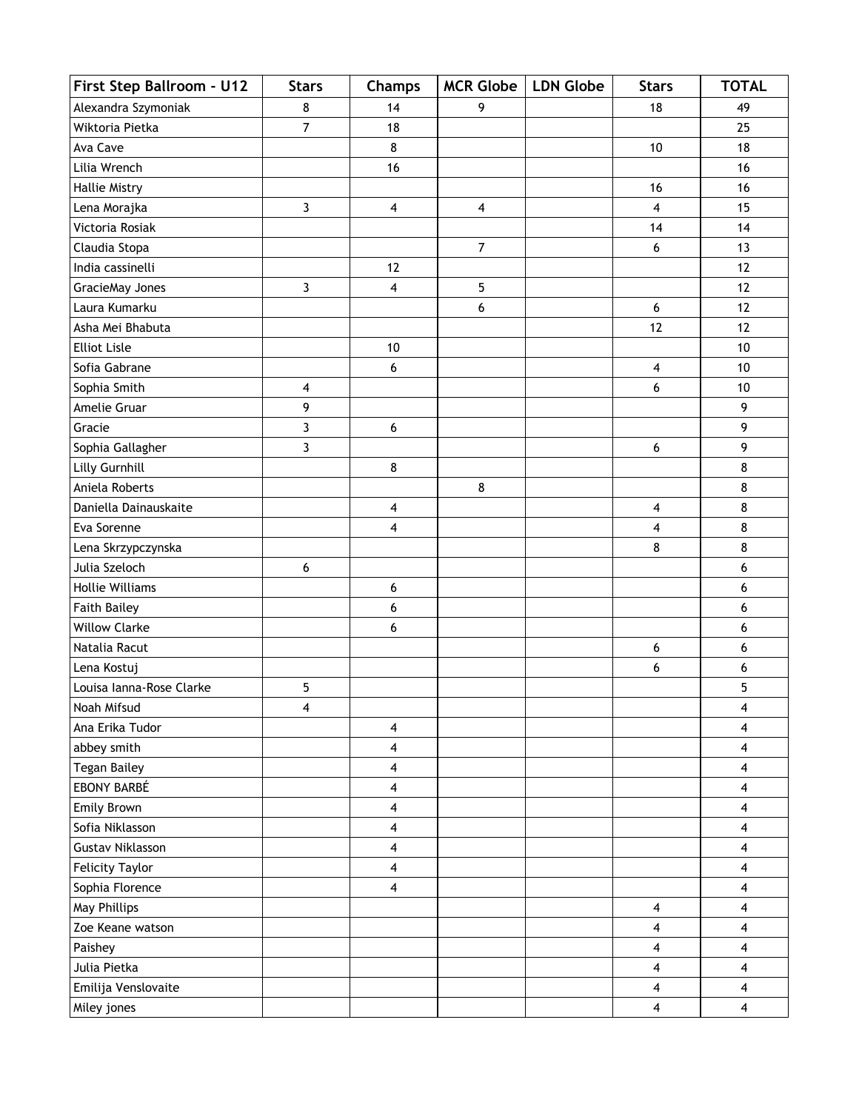| First Step Ballroom - U12 | <b>Stars</b>            | <b>Champs</b>           | MCR Globe   LDN Globe   | <b>Stars</b>            | <b>TOTAL</b>            |
|---------------------------|-------------------------|-------------------------|-------------------------|-------------------------|-------------------------|
| Alexandra Szymoniak       | 8                       | 14                      | 9                       | 18                      | 49                      |
| Wiktoria Pietka           | $\overline{7}$          | 18                      |                         |                         | 25                      |
| Ava Cave                  |                         | 8                       |                         | 10                      | 18                      |
| Lilia Wrench              |                         | 16                      |                         |                         | 16                      |
| <b>Hallie Mistry</b>      |                         |                         |                         | 16                      | 16                      |
| Lena Morajka              | $\overline{3}$          | $\overline{\mathbf{4}}$ | $\overline{\mathbf{4}}$ | 4                       | 15                      |
| Victoria Rosiak           |                         |                         |                         | 14                      | 14                      |
| Claudia Stopa             |                         |                         | $\overline{7}$          | 6                       | 13                      |
| India cassinelli          |                         | 12                      |                         |                         | 12                      |
| GracieMay Jones           | $\overline{3}$          | $\overline{\mathbf{4}}$ | 5                       |                         | 12                      |
| Laura Kumarku             |                         |                         | 6                       | 6                       | 12                      |
| Asha Mei Bhabuta          |                         |                         |                         | 12                      | 12                      |
| <b>Elliot Lisle</b>       |                         | 10                      |                         |                         | 10                      |
| Sofia Gabrane             |                         | 6                       |                         | $\overline{\mathbf{4}}$ | 10                      |
| Sophia Smith              | $\overline{\mathbf{4}}$ |                         |                         | 6                       | 10                      |
| Amelie Gruar              | 9                       |                         |                         |                         | 9                       |
| Gracie                    | 3                       | 6                       |                         |                         | 9                       |
| Sophia Gallagher          | $\overline{3}$          |                         |                         | 6                       | 9                       |
| Lilly Gurnhill            |                         | 8                       |                         |                         | 8                       |
| Aniela Roberts            |                         |                         | 8                       |                         | 8                       |
| Daniella Dainauskaite     |                         | 4                       |                         | 4                       | 8                       |
| Eva Sorenne               |                         | $\overline{\mathbf{4}}$ |                         | 4                       | 8                       |
| Lena Skrzypczynska        |                         |                         |                         | 8                       | 8                       |
| Julia Szeloch             | 6                       |                         |                         |                         | 6                       |
| <b>Hollie Williams</b>    |                         | 6                       |                         |                         | 6                       |
| <b>Faith Bailey</b>       |                         | 6                       |                         |                         | 6                       |
| <b>Willow Clarke</b>      |                         | 6                       |                         |                         | 6                       |
| Natalia Racut             |                         |                         |                         | 6                       | 6                       |
| Lena Kostuj               |                         |                         |                         | 6                       | 6                       |
| Louisa Ianna-Rose Clarke  | $5\phantom{.0}$         |                         |                         |                         | 5                       |
| Noah Mifsud               | 4                       |                         |                         |                         | $\overline{\mathbf{4}}$ |
| Ana Erika Tudor           |                         | $\overline{\mathbf{4}}$ |                         |                         | $\overline{\mathbf{4}}$ |
| abbey smith               |                         | $\overline{\mathbf{4}}$ |                         |                         | $\overline{\mathbf{4}}$ |
| <b>Tegan Bailey</b>       |                         | $\overline{\mathbf{4}}$ |                         |                         | $\overline{\mathbf{4}}$ |
| EBONY BARBÉ               |                         | 4                       |                         |                         | $\overline{\mathbf{4}}$ |
| Emily Brown               |                         | $\overline{\mathbf{4}}$ |                         |                         | $\overline{\mathbf{4}}$ |
| Sofia Niklasson           |                         | $\overline{\mathbf{4}}$ |                         |                         | 4                       |
| <b>Gustav Niklasson</b>   |                         | 4                       |                         |                         | $\overline{\mathbf{4}}$ |
| <b>Felicity Taylor</b>    |                         | $\overline{\mathbf{4}}$ |                         |                         | $\overline{\mathbf{4}}$ |
| Sophia Florence           |                         | $\overline{\mathbf{4}}$ |                         |                         | $\overline{\mathbf{4}}$ |
| May Phillips              |                         |                         |                         | 4                       | $\overline{\mathbf{4}}$ |
| Zoe Keane watson          |                         |                         |                         | 4                       | $\overline{\mathbf{4}}$ |
| Paishey                   |                         |                         |                         | 4                       | 4                       |
| Julia Pietka              |                         |                         |                         | $\overline{\mathbf{4}}$ | $\overline{\mathbf{4}}$ |
| Emilija Venslovaite       |                         |                         |                         | 4                       | $\overline{\mathbf{4}}$ |
| Miley jones               |                         |                         |                         | $\overline{\mathbf{4}}$ | $\overline{\mathbf{4}}$ |